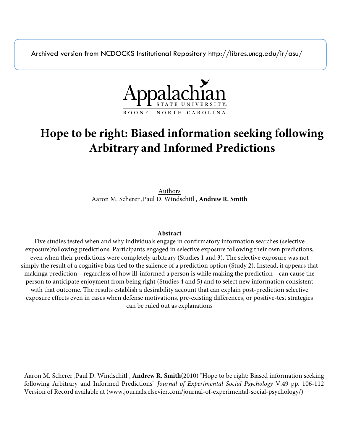Archived version from NCDOCKS Institutional Repository http://libres.uncg.edu/ir/asu/



# **Hope to be right: Biased information seeking following Arbitrary and Informed Predictions**

Authors Aaron M. Scherer ,Paul D. Windschitl , **Andrew R. Smith**

### **Abstract**

Five studies tested when and why individuals engage in confirmatory information searches (selective exposure)following predictions. Participants engaged in selective exposure following their own predictions, even when their predictions were completely arbitrary (Studies 1 and 3). The selective exposure was not simply the result of a cognitive bias tied to the salience of a prediction option (Study 2). Instead, it appears that makinga prediction—regardless of how ill-informed a person is while making the prediction—can cause the person to anticipate enjoyment from being right (Studies 4 and 5) and to select new information consistent with that outcome. The results establish a desirability account that can explain post-prediction selective exposure effects even in cases when defense motivations, pre-existing differences, or positive-test strategies can be ruled out as explanations

Aaron M. Scherer ,Paul D. Windschitl , **Andrew R. Smith**(2010) "Hope to be right: Biased information seeking following Arbitrary and Informed Predictions" *Journal of Experimental Social Psychology* V.49 pp. 106-112 Version of Record available at (www.journals.elsevier.com/journal-of-experimental-social-psychology/)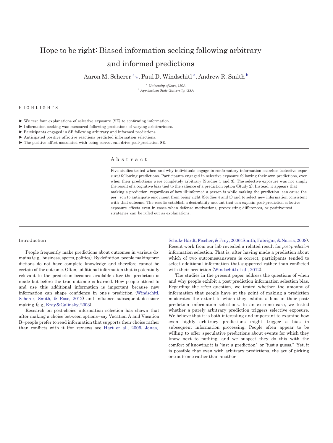## Hope to be right: Biased information seeking following arbitrary and informed predictions

AaronM. Scherer  $\mathrm{^{a_\star}}$ , Paul D. Windschitl  $\mathrm{^{a_\star}}$  Andrew R. Smit[h](#page-1-1)  $\mathrm{^{b}}$ 

<span id="page-1-1"></span><sup>a</sup>*University of Iowa, USA* <sup>b</sup>*Appalachian State University, USA*

#### <span id="page-1-0"></span>H I G H L I G H T S

► We test four explanations of selective exposure (SE) to confirming information.

► Information seeking was measured following predictions of varying arbitrariness.

► Participants engaged in SE following arbitrary and informed predictions.

 $\blacktriangleright$  Anticipated positive affective reactions predicted information selections.

► The positive affect associated with being correct can drive post-prediction SE.

#### A b s t r a c t

Five studies tested when and why individuals engage in confirmatory information searches (selective exposure) following predictions. Participants engaged in selective exposure following their own predictions, even when their predictions were completely arbitrary (Studies 1 and 3). The selective exposure was not simply the result of a cognitive bias tied to the salience of a prediction option (Study 2). Instead, it appears that making a prediction—regardless of how ill-informed a person is while making the prediction—can cause the per- son to anticipate enjoyment from being right (Studies 4 and 5) and to select new information consistent with that outcome. The results establish a desirability account that can explain post-prediction selective exposure effects even in cases when defense motivations, pre-existing differences, or positive-test strategies can be ruled out as explanations.

#### Introduction

People frequently make predictions about outcomes in various domains (e.g., business, sports, politics). By definition, people making predictions do not have complete knowledge and therefore cannot be certain of the outcome. Often, additional information that is potentially relevant to the prediction becomes available after the prediction is made but before the true outcome is learned. How people attend to and use this additional information is important because new information can shape confidence in one's prediction [\(Windschitl,](#page-7-0)  [Scherer,](#page-7-0) [Smith, & Rose, 2012\)](#page-7-0) and influence subsequent decisionmaking (e.g., Kray & Galinsky, 2003).

Research on post-choice information selection has shown that after making a choice between options—say Vacation A and Vacation B—people prefer to read information that supports their choice rather than conflicts with it (for reviews see [Hart et al., 2009; Jonas,](#page-7-2)

[Schulz-Hardt, Fischer, & Frey, 2006; Smith, Fabrigar, & Norris, 2008\)](#page-7-2). Recent work from our lab revealed a related result for *post-prediction* information selection. That is, after having made a prediction about which of two outcomes/answers is correct, participants tended to select additional information that supported rather than conflicted with their prediction (Windschitl [et al., 2012\)](#page-7-0).

The studies in the present paper address the questions of when and why people exhibit a post-prediction information selection bias. Regarding the *when* question, we tested whether the amount of information that people have at the point of making a prediction moderates the extent to which they exhibit a bias in their postprediction information selections. In an extreme case, we tested whether a purely arbitrary prediction triggers selective exposure. We believe that it is both interesting and important to examine how even highly arbitrary predictions might trigger a bias in subsequent information processing. People often appear to be willing to offer speculative predictions about events for which they know next to nothing, and we suspect they do this with the comfort of knowing it is "just a prediction" or "just a guess." Yet, it is possible that even with arbitrary predictions, the act of picking one outcome rather than another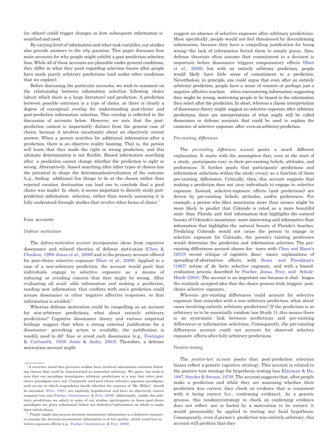(or others) could trigger changes in how subsequent information is searched and used.

By varying level-of-informationand other task variables, our studies also provide answers to the *why* question. This paper discusses four main accounts for why people might exhibit a post-prediction selection bias. While all of these accounts are plausible under general conditions, they differ in what they posit regarding selection biases after people have made purely arbitrary predictions (and under other conditions that we explore).

Before discussing the particular accounts, we wish to comment on the relationship between information selection following choice (about which there is a large literature) and prediction. A prediction between possible outcomes is a type of choice, so there is clearly a degree of conceptual overlap for understanding post-choice and post-prediction information selection. This overlap is reflected in the discussion of accounts below. However, we note that the postprediction context is importantly distinct from the general case of choice, because it involves uncertainty about an objectively correct answer. When a person searches for additional information after a prediction, there is an objective reality looming. That is, the person will learn that they made the right or wrong prediction, and this ultimate determination is not flexible. Biased information searching after a prediction cannot change whether the prediction is right or wrong. Alternatively, biased searching after other types of choices has the potential to shape the determination/evaluation of the outcome (e.g., finding additional fun things to do at the chosen rather than rejected vacation destination can lead one to conclude that a good choice was made). In short, it seems important to directly study postprediction information selection, rather than merely assuming it is fully understood through studies that involve other forms of choice.<sup>1</sup>

#### Four accounts

#### *Defense motivation*

The *defense-motivation account* incorporates ideas from cognitive dissonance and related theories of defense motivation [\(Chen](#page-7-1) & [Chaiken,](#page-7-1) 1999; Jonas et al., 2006) and is the primary account offered for post-choice selective exposure (Hart et al., [2009\)](#page-7-2). Applied to a case of a non-arbitrary prediction, the account would posit that individuals engage in selective exposure as a means of reducing or avoiding concern that they might be wrong. After evaluating all avail- able information and making a prediction, reading new information that conflicts with one's prediction could arouse dissonance or other negative affective responses, so that information is avoided. $2$ 

Whereas defense motivation could be compelling as an account for non-arbitrary predictions, what about entirely arbitrary predictions? Cognitive dissonance theory and various empirical findings suggest that when a strong external justification for a dissonance- provoking action is available, the justification is readily used to dif- fuse or avoid such dissonance (e.g., [Festinger](#page-7-1) & [Carlsmith,](#page-7-1) 1959; Joule & [Azdia,](#page-7-1) 2003). Therefore, a defense motivation account might

suggest an absence of selective exposure after arbitrary predictions. More specifically, people would not feel threatened by disconfirming information, because they have a compelling justification for being wrong—the lack of information forced them to simply guess. Also, defense theorists often assume that commitment to a decision is important before dissonance triggers compensatory effects [\(Hart](#page-7-2) et [al.,](#page-7-2) [2009\)](#page-7-2), but with an entirely arbitrary prediction, people would likely have little sense of commitment to a prediction. Nevertheless, in principle, one could argue that even after an entirely arbitrary prediction, people have a sense of concern or perhaps just a negative affective reaction when encountering information suggesting they might be wrong, motivating people to be biased in the information they select after the prediction. In short, whereas a classic interpretation of dissonance theory might suggest no selective exposure after arbitrary predictions, there are interpretations of what might still be called dissonance or defense accounts that could be used to explain the existence of selective exposure after even an arbitrary prediction.

#### *Pre-existing differences*

The *pre-existing differences account* posits a much different explanation. It starts with the assumption that, even at the start of a study, participants vary in their pre-existing beliefs, attitudes, and preferences. It further posits that participants' predictions and information selections within the study covary as a function of these pre-existing differences. Critically, then, this account suggests that making a prediction does not *cause* individuals to engage in selective exposure. Instead, selective-exposure effects (and predictions) are driven by pre-existing beliefs, attitudes, and/or preferences. For example, a person who likes mountains more than oceans might be more likely to predict that Colorado is rated as a more beautiful state than Florida and find information that highlights the natural beauty of Colorado's mountains more interesting and informative than information that highlights the natural beauty of Florida's beaches. Predicting Colorado would not cause the person to engage in selective exposure for Colorado, the person's existing preference would determine the prediction and information selection. The preexisting differences account shares fea- tures with Chen and [Risen's](#page-7-1) [\(2010\)](#page-7-1) recent critique of cognitive disso- nance explanations of spreading-of-alternatives effects, with [Sears](#page-7-1) and [Freedman's](#page-7-1) [\(1967\)](#page-7-1) notion of de facto selective exposure, and with a biasedevaluation process described by [Fischer,](#page-7-1) Jonas, Frey, and [Schulz-](#page-7-1)Hardt [\(2005\).](#page-7-1) The account is an important one because it chal- lenges the routinely accepted idea that the choice process truly triggers postchoice selective exposure.

Whereas pre-existing differences could account for selective exposure that coincides with a non-arbitrary prediction, what about cases involving entirely arbitrary predictions? If the prediction is so arbitrary as to be essentially random (see Study 1), this means there is no systematic link between predictions and pre-existing differences or information selections. Consequently, the pre-existing differences account could not account for observed selective exposure effectsafter fully arbitrary predictions.

#### *Positive-testing*

The *positive-test account* posits that post-prediction selection biases reflect a generic cognitive strategy. This account is related to the positive-test strategy for hypothesis testing (see [Klayman](#page-7-1) & Ha, 1987; Snyder & [Swann,](#page-7-1) 1978). The account suggests that, after people make a prediction and while they are assessing whether their prediction was correct, they check on evidence that is consistent with it being correct (i.e., confirming evidence). As a generic process, this tendency/strategy to check on confirming evidence does not reflect nor is fueled by a motivation to be correct; it would presumably be applied to testing any focal hypothesis. Consequently, even if person's prediction was entirely arbitrary, this account still predicts that they

 $^{\rm 1}$  A reviewer noted that previous studies have involved information selection following choices that could be characterized as somewhat arbitrary. We agree, but wish to note that our paradigm investigates arbitrary predictions in a way that other postchoice paradigms have not. Commonly used post-choice selective exposure paradigms, such as one in which respondents decide whether the contract of "Mr. Miller" should be extended, [\(Frey,](#page-7-1) 1981), are explicitly hypothetical and have no objectively correct response (see also Fischer, [Greitemeyer,](#page-7-1) & Frey, 2008). Additionally, unlike the arbitrary predictions we solicit in some of our studies, participants in those post-choice paradigms are given substantial (albeit not definitive) information on which to make their initial choice.

 $2$  People might also process decision-inconsistent information in a defensive manner or assume the decision-inconsistent information is of low quality, which could fuel selective exposure effects (e.g., Fischer, [Greitemeyer,](#page-7-1) & Frey, 2008).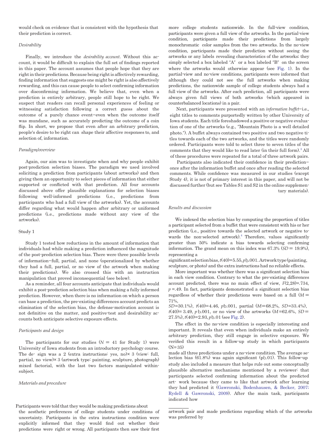would check on evidence that is consistent with the hypothesis that their prediction is correct.

#### *Desirability*

Finally, we introduce the *desirability account*. Without this account, it would be difficult to explain the full set of findings reported in this paper. The account assumes that people hope that they are right in their predictions. Because being right is affectively rewarding, finding information that suggests one might be right is also affectively rewarding, and this can cause people to select confirming information over disconfirming information. We believe that, even when a prediction is entirely arbitrary, people still hope to be right. We suspect that readers can recall personal experiences of feeling or witnessing satisfaction following a correct guess about the outcome of a purely chance event—even when the outcome itself was mundane, such as accurately predicting the outcome of a coin flip. In short, we propose that even after an arbitrary prediction, people's desire to be right can shape their affective responses to, and selection of, information.

#### *Paradigm/overview*

Again, our aim was to investigate when and why people exhibit post-prediction selection biases. The paradigm we used involved soliciting a prediction from participants (about artworks) and then giving them an opportunity to select pieces of information that either supported or conflicted with that prediction. All four accounts discussed above offer plausible explanations for selection biases following well-informed predictions (i.e., predictions from participants who had a full view of the artworks). Yet, the accounts differ regarding what would happen after arbitrary or uniformed predictions (i.e., predictions made without any view of the artworks).

#### Study 1

Study 1 tested how reductions in the amount of information that individuals had while making a prediction influenced the magnitude of the post-prediction selection bias. There were three possible levels of information—full, partial, and none (operationalized by whether they had a full, partial, or no view of the artwork when making their predictions). We also crossed this with an instruction manipulation that proved inconsequential (see below).

As a reminder, all four accounts anticipate that individuals would exhibit a post-prediction selection bias when making a fully informed prediction. However, when there is no information on which a person can base a prediction, the pre-existing differences account predicts an elimination of the selection bias, the defense-motivation account is not definitive on the matter, and positive-test and desirability accounts both anticipate selective exposure effects.

#### *Participants and design*

The participants for our studies  $(N = 41$  for Study 1) were University of Iowa students from an introductory psychology course. The de- sign was a 2 (extra instructions: yes, no) $\times$  3 (view: full, partial, no view)× 3 (artwork type: painting, sculpture, photograph) mixed factorial, with the last two factors manipulated withinsubject.

#### *Materials and procedure*

Participants were told that they would be making predictions about

the aesthetic preferences of college students under conditions of uncertainty. Participants in the extra instructions condition were explicitly informed that they would find out whether their predictions were right or wrong. All participants then saw their first

more college students nationwide. In the full-view condition, participants were given a full view of the artworks. In the partial-view condition, participants made their predictions from largely monochromatic color samples from the two artworks. In the no-view condition, participants made their prediction without seeing the artworks or any labels revealing characteristics of the artworks; they simply selected a box labeled "A" or a box labeled "B" on the screen where the artworks would otherwise appear (see [Fig.](#page-4-0) 1). In the partial-view and no-view conditions, participants were informed that although they could not see the full artworks when making predictions, the nationwide sample of college students always had a full view of the artworks. After each prediction, all participants were always given full views of both artworks (which appeared in counterbalanced locations) in a pair.

Next, participants were presented with an *information buffet*—i.e., eight titles to comments purportedly written by other University of Iowa students. Each title foreshadowed a positive or negative evaluation of one of the artworks (e.g., "Mountain Photo is a well detailed photo."). A buffet always contained two positive and two negative titles towards each of the two artworks, and the titles were randomly ordered. Participants were told to select three to seven titles of the comments that they would like to read later (in their full form).<sup>3</sup> All of these procedures were repeated for a total of three artwork pairs.

Participants also indicated their confidence in their prediction once after the information buffet and once after reading the selected comments. While confidence was measured in our studies (except Study 4), it is not of primary interest in this paper, and will not be discussed further (but see Tables S1 and S2 in the online supplementary materials).

#### *Results and discussion*

We indexed the selection bias by computing the proportion of titles a participant selected from a buffet that were consistent with his or her prediction (i.e., positive towards the selected artwork or negative towards the non-selected artwork). <sup>4</sup> Therefore, values significantly greater than 50% indicate a bias towards selecting confirming information. The grand mean on this index was  $67.3\%$   $(SD = 19.9\%).$ representing a

significant selection bias,  $t(40)=5.55$ ,  $pb.001$ . Artwork type (painting, sculpture, or photo) and the extra instructions had no reliable effects.

More important was whether there was a significant selection bias in each view condition. Contrary to what the pre-existing differences account predicted, there was no main effect of view, *F*(2,28)=.734,  $p = 49$ . In fact, participants demonstrated a significant selection bias regardless of whether their predictions were based on a full (*M* = 71%,

*SD*=30.1%), *t*(40)=4.46, *p* .001, partial (*M*=68.2%, *SD*=33.4%),  $t(40) = 3.49$ , *p* b.001, or no view of the artworks  $(M=62.6\%, SD=$ 27.5%),*t*(40)=2.93, *p* .01 (se[eFig.](#page-4-1) 2).

The effect in the no-view condition is especially interesting and important. It reveals that even when individuals make an entirely arbitrary prediction, they still engage in selective exposure. We verified this result in a follow-up study in which participants  $(N=35)$ 

made all three predictions under a no-view condition. The average selection bias  $(61.8%)$  was again significant  $(p b.01)$ . This follow-up study also included a measure that helps rule out some conceptually plausible alternative mechanisms mentioned by a reviewer: that participants selected confirming information about the predicted art- work because they came to like that artwork after learning they had predicted it (Gawronski, [Bodenhausen,](#page-7-1) & Becker, 2007; [Rydell](#page-7-1) & [Gawronski,](#page-7-1) 2009). After the main task, participants indicated how

artwork pair and made predictions regarding which of the artworks was preferred by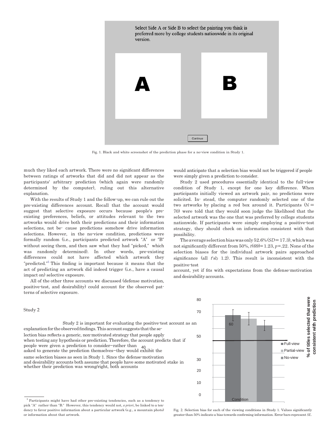<span id="page-4-0"></span>

Fig. 1. Black and white screenshot of the prediction phase for a no-view condition in Study 1.

much they liked each artwork. There were no significant differences between ratings of artworks that did and did not appear as the participants' arbitrary prediction (which again were randomly determined by the computer), ruling out this alternative explanation.

With the results of Study 1 and the follow-up, we can rule out the pre-existing differences account. Recall that the account would suggest that selective exposure occurs because people's preexisting preferences, beliefs, or attitudes relevant to the two artworks would drive both their predictions and their information selections, not be- cause predictions somehow drive information selections. However, in the no-view condition, predictions were formally random (i.e., participants predicted artwork "A" or "B" without seeing them, and then saw what they had "picked," which was randomly determined). In other words, pre-existing differences could not have affected which artwork they "predicted."<sup>5</sup> This finding is important because it means that the act of predicting an artwork did indeed trigger (i.e., have a causal impact on) selective exposure.

All of the other three accounts we discussed (defense motivation, positive-test, and desirability) could account for the observed patterns of selective exposure.

would anticipate that a selection bias would not be triggered if people were simply given a prediction to consider.

Study 2 used procedures essentially identical to the full-view condition of Study 1, except for one key difference. When participants initially viewed an artwork pair, no predictions were solicited. In- stead, the computer randomly selected one of the two artworks by placing a red box around it. Participants  $(N =$ 70) were told that they would soon judge the likelihood that the selected artwork was the one that was preferred by college students nationwide. If participants were simply employing a positive-test strategy, they should check on information consistent with that possibility.

Theaverageselectionbiaswasonly52.6%(*SD*=17.3),whichwas not significantly different from 50%,  $t(69)=1.23, p=.22$ . None of the selection biases for the individual artwork pairs approached significance (all *t*'s 1.2). This result is inconsistent with the positive-test

account, yet if fits with expectations from the defense-motivation and desirability accounts.



Study 2 is important for evaluating the positive-test account as an 60 explanation for the observed findings. This account suggests that the se-

lection bias reflects a generic, non-motivated strategy that people apply 50 when testing any hypothesis or prediction. Therefore, the account predicts that if people were given a prediction to consider—rather than <sup>40</sup> asked to generate the prediction themselves—they would exhibit the same selection biases as seen in Study 1. Since the defense-motivation and desirability accounts both assume that people have some motivated stake in whether their prediction was wrong/right, both accounts

Fig. 2. Selection bias for each of the viewing conditions in Study 1. Values significantly greater than 50% indicate a bias towards confirming information. Error bars represent *SE*.

#### Study 2

<span id="page-4-1"></span><sup>&</sup>lt;sup>5</sup> Participants might have had other pre-existing tendencies, such as a tendency to pick "A" rather than "B." However, this tendency would not, *a priori*, be linked to a tendency to favor positive information about a particular artwork (e.g., a mountain photo) or information about that artwork.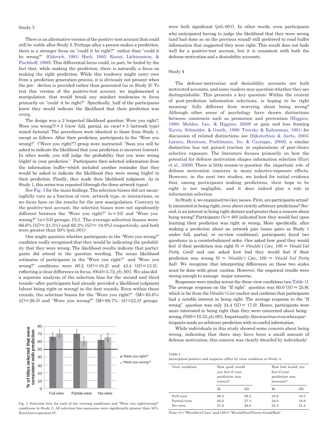#### Study 3

There is an alternative version of the positive-test account that could still be viable after Study 2. Perhaps after a person makes a prediction, there is a stronger focus on "could it be right?" rather than "could it be wrong?" (Gilovich, 1991; Hoch, 1985; Koriat, [Lichtenstein,](#page-7-3) & [Fischhoff,](#page-7-3) 1980). This differential focus could, in part, be fueled by the fact that, while making the prediction, there is naturally a focus on making the right prediction. While this tendency might carry over from a prediction generation process, it is obviously not present when the pre- diction is provided rather than generated (as in Study 2). To test this version of the positive-test account, we implemented a manipulation that would break any mindset tendencies to focus primarily on "could it be right?" Specifically, half of the participants knew they would indicate the likelihood that their prediction was *wrong*.

The design was a 2 (expected likelihood question: Were you right?, Were you wrong?)  $\times$  3 (view: full, partial, no view)  $\times$  3 (artwork type) mixed factorial. The procedures were identical to those from Study 1, except as follows. After their prediction, participants in the "Were you wrong?" ("Were you right?") group were instructed: "Soon you will be asked to indicate the likelihood that your prediction is incorrect(correct). In other words, you will judge the probability that you were wrong (right) in your prediction." Participants then selected information from the information buffet—which included another reminder that they would be asked to indicate the likelihood they were wrong (right) in their prediction. Finally, they made their likelihood judgment. As in Study 1, this series was repeated (through the three artwork types).

See [Fig.](#page-5-0) 3 for the main findings. The selection biases did not meaningfully vary as a function of view, artwork type, or interactions, so we focus here on the results for the new manipulation. Contrary to the positive-test account, the selection biases were not significantly different between the "Were you right?" (*n*=33) and "Were you wrong?" (n=33) groups, *F*b1. The average selection biases were 66.6% (*SD*= 21.5%) and 66.2% (*SD*= 18.9%) respectively, and both were greater than  $50\%$  ( $p$ sb.001).

One might question whether participants in the "Were you wrong?" condition really recognized that they would be indicating the probability that they were wrong. The likelihood results indicate that participants did attend to the question wording. The mean likelihood estimates of participants in the "Were you right?" and "Were you wrong?" conditions were 60.2 (*SD*=10.2) and 43.4 (*SD*=13.5), reflecting a clear difference in focus,  $t(64)=5.72$ ,  $pb.001$ . We also did a separate analysis of the selection bias for the second and third rounds—after participants had already provided a likelihood judgment (about being right or wrong) in the first rounds. Even within these rounds, the selection biases for the "Were you right?" (M= 65.6%; *SD*=26.5) and "Were you wrong?" (M=68.7%; *SD*=22.5) groups

<span id="page-5-1"></span>

<span id="page-5-0"></span>Fig. 3. Selection bias for each of the viewing conditions and "Were you right/wrong?" conditions in Study 3. All selection bias measures were significantly greater than 50%.

were both significant (*ps*b.001). In other words, even participants who anticipated having to judge the likelihood that they were wrong (and had done so on the previous round) still preferred to read buffet information that suggested they were right. This result does not bode well for a positive-test account, but it is consistent with both the defense-motivation and a desirability accounts.

#### Study 4

Table 1

The defense-motivation and desirability accounts are both motivated accounts, and some readers may question whether they are distinguishable. This presents a key question: Within the context of post-prediction information selections, is hoping to be right meaning- fully different from worrying about being wrong? Although other areas of psychology have drawn distinctions between constructs such as promotion and prevention [\(Higgins,](#page-7-4) 1998; [Molden,](#page-7-4) Lee, & [Higgins,](#page-7-4) 2008) or gain and loss framing (Levin, [Schneider,](#page-7-1) & Gaeth, 1998; Tversky & [Kahneman,](#page-7-1) 1981; for discussion of related distinctions see [Dijksterhuis](#page-7-1) & Aarts, 2003; Larsen, Berntson, [Poehlmann,](#page-7-1) Ito, & [Cacioppo,](#page-7-1) 2008), a similar distinction has not gained traction in explanations of post-choice selective exposure. The literature focuses primarily on how the potential for defense motivation shapes information selection [\(Hart](#page-7-2) et al., [2009\)](#page-7-2). There is little reason to question the important role of defense motivation concerns in many selective-exposure effects. However, in the next two studies, we looked for initial evidence that, among participants making predictions, their hope to be right is not negligible, and it does indeed play a role in information selection.

In Study 4, we examined two key issues. First, are participants actually interested in being right, even about strictly arbitrary predictions? Second, is an interest in being right distinct and greater than a concern about being wrong? Participants  $(N = 60)$  indicated how they would feel upon learning their prediction was right or wrong. More specifically, after making a prediction about an artwork pair (same pairs as Study 1 under full, partial, or no-view conditions), participants faced two questions in a counterbalanced order. One asked how good they would feel if their prediction was right (0 = *Wouldn't Care*, 100 = *Would Feel Pretty Good*) and one asked how bad they would feel if their prediction was wrong (0 = *Wouldn't Care*, 100 = *Would Feel Pretty Bad*). We recognize that interpreting differences on these two scales must be done with great caution. However, the empirical results were strong enough to assuage major concerns.

Responses were similar across the three view conditions (see [Table](#page-5-1) 1). The average response on the "If right" question was  $60.0$   $(SD = 25.8)$ , which is far from the *Wouldn't Care* anchor and confirms that participants had a notable interest in being right. The average response to the "If wrong" question was only 24.4  $(SD = 17.0)$ . Hence, participants were more interested in being right than they were concerned about being wrong, $t(59)=10.55$ , $pb.001$ . Importantly, this was true even when participants made an arbitrary prediction with no useful information.

While individuals in this study showed some concern about being wrong, indicating that there may have been a small amount of defense motivation, this concern was clearly dwarfed by individuals'

| Anticipated positive and negative affect by view condition in Study 4. |                                                                  |                      |                                                                   |                      |
|------------------------------------------------------------------------|------------------------------------------------------------------|----------------------|-------------------------------------------------------------------|----------------------|
| View condition                                                         | How good would<br>you feel if your<br>prediction was<br>correct? |                      | How bad would you<br>feel if your<br>prediction was<br>incorrect? |                      |
|                                                                        | M                                                                | SD                   | M                                                                 | SD                   |
| Full-view<br>Partial-view<br>No-view                                   | 60.2<br>62.0<br>57.8                                             | 26.2<br>27.3<br>28.8 | 24.9<br>24.0<br>24.3                                              | 18.5<br>18.9<br>21.2 |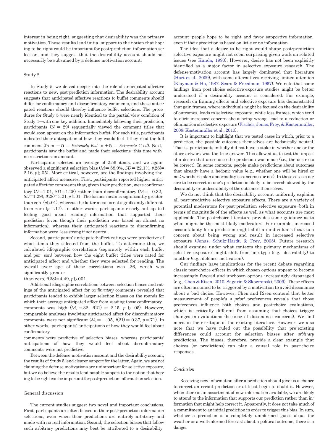interest in being right, suggesting that desirability was the primary motivation. These results lend initial support to the notion that hoping to be right could be important for post-prediction information selection, and they suggest that the desirability account should not necessarily be subsumed by a defense motivation account.

#### Study 5

In Study 5, we delved deeper into the role of anticipated affective reactions to new, post-prediction information. The desirability account suggests that anticipated affective reactions to buffet comments should differ for confirmatory and disconfirmatory comments, and these anticipated reactions should thereby influence buffet selections. The procedures for Study 5 were nearly identical to the partial-view condition of Study 1—with one key addition. Immediately following their prediction, participants  $(N = 29)$  sequentially viewed the comment titles that would soon appear on the information buffet. For each title, participants indicated their anticipation of how they would feel if they read the full comment (from −5 = *Extremely Bad* to +5 = *Extremely Good*). Next, participants saw the buffet and made their selections—this time with no restrictions on amount.

Participants selected an average of 2.56 items, and we again observed a significant selection bias  $(M=58.9\%, SD=22.1\%, t(28)=$ 2.16, *p*b.05). More critical, however, are the findings involving the anticipated-affect measures. First, participants reported higher anticipated affect for comments that, given their prediction, were confirmatory (*M*=1.01, *SD*=1.26) rather than disconfirmatory (*M*=−0.32,  $SD = 1.29$ ,  $t(28) = 3.21$ ,  $p b.01$ . The former mean is significantly greater than zero  $(p<sub>b.01</sub>)$ , whereas the latter mean is not significantly different from zero  $(p = 17)$ . In other words, participants clearly anticipated feeling good about reading information that supported their prediction (even though their prediction was based on almost no information), whereas their anticipated reactions to disconfirming information were less strong if not neutral.

Second, participants' anticipated-affect ratings were predictive of what items they selected from the buffet. To determine this, we calculated idiographic correlations (separately within each buffet and per- son) between how the eight buffet titles were rated for anticipated affect and whether they were selected for reading. The overall aver- age of these correlations was .26, which was significantly greater

#### than zero,  $t(28)=4.49$ ,  $p<sub>0.001</sub>$ .

Additional idiographic correlations between selection biases and ratings of the anticipated affect for *con*fi*rmatory* comments revealed that participants tended to exhibit larger selection biases on the rounds for which their average anticipated affect from reading those confirmatory comments was high  $(M_r = .32, t(21) = 2.15, p \text{ b } .05)$ . However, comparable analyses involving anticipated affect for disconfirmatory comments were not significant  $(M_r = -.05, t(21) = 0.37, p = .71)$ . In other words, participants' anticipations of how they would feel about confirmatory

comments were predictive of selection biases, whereas participants' anticipations of how they would feel about disconfirmatory comments were not predictive.

Between the defense-motivation account and the desirability account, the results of Study 5 lend clearer support for the latter. Again, we are not claiming the defense motivations are unimportant for selective exposure, but we do believe the results lend notable support to the notion that hoping to be right can be important for post-prediction information selection.

#### General discussion

The current studies suggest two novel and important conclusions. First, participants are often biased in their post-prediction information selections, even when their predictions are entirely arbitrary and made with no real information. Second, the selection biases that follow such arbitrary predictions may best be attributed to a desirability

account—people hope to be right and favor supportive information even if their prediction is based on little or no information.

The idea that a desire to be right would shape post-prediction selective exposure might not seem surprising given work on related issues (see [Kunda,](#page-7-1) 1990). However, desire has not been explicitly identified as a major factor in selective exposure research. The defense-motivation account has largely dominated that literature (Hart et al., [2009\),](#page-7-2) with some alternatives receiving limited attention (Klayman & Ha, 1987; Sears & [Freedman,](#page-7-1) 1967). We note that some findings from post-choice selective-exposure studies might be better understood if a desirability account is considered. For example, research on framing effects and selective exposure has demonstrated that gain frames, where individuals might be focused on the desirability of outcomes, leads to selective exposure, while loss frames, which tend to elicit increased concern about being wrong, lead to a reduction or eliminationof selective exposure (Fischer, Jonas,Frey, & [Kastenmüller,](#page-7-1) 2008; [Kastenmüller](#page-7-1) et al., 2010).

It is important to highlight that we tested cases in which, prior to a prediction, the possible outcomes themselves are hedonically neutral. That is, participants initially did not have a stake in whether one or the other artwork was the true answer. This allowed us to test the impact of a desire that arose once the prediction was made (i.e., the desire to be correct). In some contexts, people make predictions about outcomes that already have a hedonic value (e.g., whether one will be hired or not; whether a skin abnormality is cancerous or not). In these cases a desire to be correct in one's prediction is likely to be overshadowed by the desirability or undesirability of the outcomes themselves.

We do not think that the desirability account uniformly explains all post-predictive selective exposure effects. There are a variety of potential moderators for post-prediction selective exposure—both in terms of magnitude of the effects as well as what accounts are most applicable. The post-choice literature provides some guidance as to what might be the most likely moderators. For example, increased accountability for a prediction might shift an individual's focus to a concern about being wrong and result in increased selective exposure (Jonas, [Schulz-Hardt,](#page-7-1) & Frey, 2005). Future research should examine under what contexts the primary mechanisms of selective exposure might shift from one type (e.g., desirability) to another (e.g., defense motivation).

Our findings have implications for the recent debate regarding classic post-choice effects in which chosen options appear to become increasingly favored and unchosen options increasingly disparaged (e.g., Chen & Risen, 2010; Sagarin & [Skowronski,](#page-7-1) 2009). These effects are often assumed to be triggered by a motivation to avoid dissonance about a bad choice. However, Chen and Risen contend that better measurement of people's *a priori* preferences reveals that those preferences influence both choices and post-choice evaluations, which is critically different from assuming that choices trigger changes in evaluations (because of dissonance concerns). We find merit in their critique of the existing literature. However, we also note that we have ruled out the possibility that pre-existing differences could account for selection biases after *arbitrary* predictions. The biases, therefore, provide a clear example that choices (or predictions) can play a causal role in post-choice responses.

#### *Conclusion*

Receiving new information after a prediction should give us a chance to correct an errant prediction or at least begin to doubt it. However, when there is an assortment of new information available, we are likely to attend to the information that supports our prediction rather than information that might help correct it. Apparently, it does not take much of a commitment to an initial prediction in order to trigger this bias. In sum, whether a prediction is a completely uninformed guess about the weather or a well-informed forecast about a political outcome, there is a danger